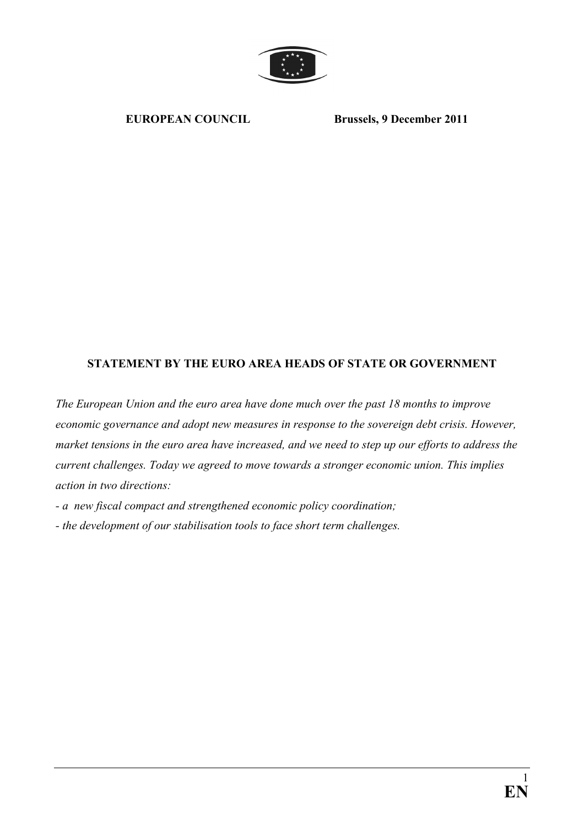

EUROPEAN COUNCIL Brussels, 9 December 2011

# STATEMENT BY THE EURO AREA HEADS OF STATE OR GOVERNMENT

The European Union and the euro area have done much over the past 18 months to improve economic governance and adopt new measures in response to the sovereign debt crisis. However, market tensions in the euro area have increased, and we need to step up our efforts to address the current challenges. Today we agreed to move towards a stronger economic union. This implies action in two directions:

- a new fiscal compact and strengthened economic policy coordination;
- the development of our stabilisation tools to face short term challenges.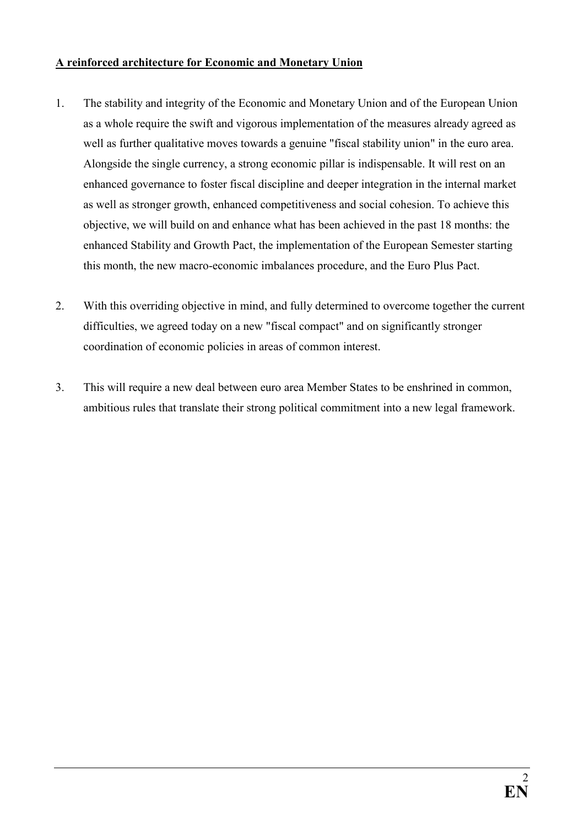### A reinforced architecture for Economic and Monetary Union

- 1. The stability and integrity of the Economic and Monetary Union and of the European Union as a whole require the swift and vigorous implementation of the measures already agreed as well as further qualitative moves towards a genuine "fiscal stability union" in the euro area. Alongside the single currency, a strong economic pillar is indispensable. It will rest on an enhanced governance to foster fiscal discipline and deeper integration in the internal market as well as stronger growth, enhanced competitiveness and social cohesion. To achieve this objective, we will build on and enhance what has been achieved in the past 18 months: the enhanced Stability and Growth Pact, the implementation of the European Semester starting this month, the new macro-economic imbalances procedure, and the Euro Plus Pact.
- 2. With this overriding objective in mind, and fully determined to overcome together the current difficulties, we agreed today on a new "fiscal compact" and on significantly stronger coordination of economic policies in areas of common interest.
- 3. This will require a new deal between euro area Member States to be enshrined in common, ambitious rules that translate their strong political commitment into a new legal framework.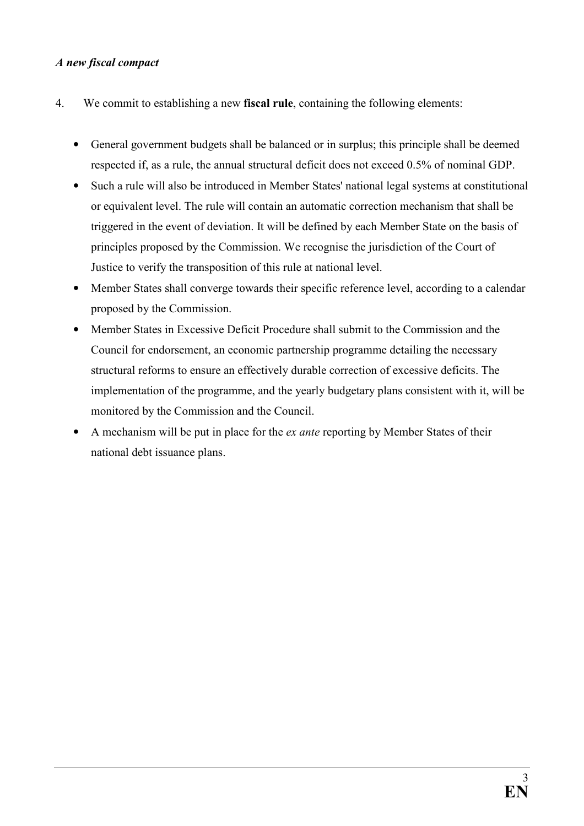# A new fiscal compact

- 4. We commit to establishing a new fiscal rule, containing the following elements:
	- General government budgets shall be balanced or in surplus; this principle shall be deemed respected if, as a rule, the annual structural deficit does not exceed 0.5% of nominal GDP.
	- Such a rule will also be introduced in Member States' national legal systems at constitutional or equivalent level. The rule will contain an automatic correction mechanism that shall be triggered in the event of deviation. It will be defined by each Member State on the basis of principles proposed by the Commission. We recognise the jurisdiction of the Court of Justice to verify the transposition of this rule at national level.
	- Member States shall converge towards their specific reference level, according to a calendar proposed by the Commission.
	- Member States in Excessive Deficit Procedure shall submit to the Commission and the Council for endorsement, an economic partnership programme detailing the necessary structural reforms to ensure an effectively durable correction of excessive deficits. The implementation of the programme, and the yearly budgetary plans consistent with it, will be monitored by the Commission and the Council.
	- A mechanism will be put in place for the *ex ante* reporting by Member States of their national debt issuance plans.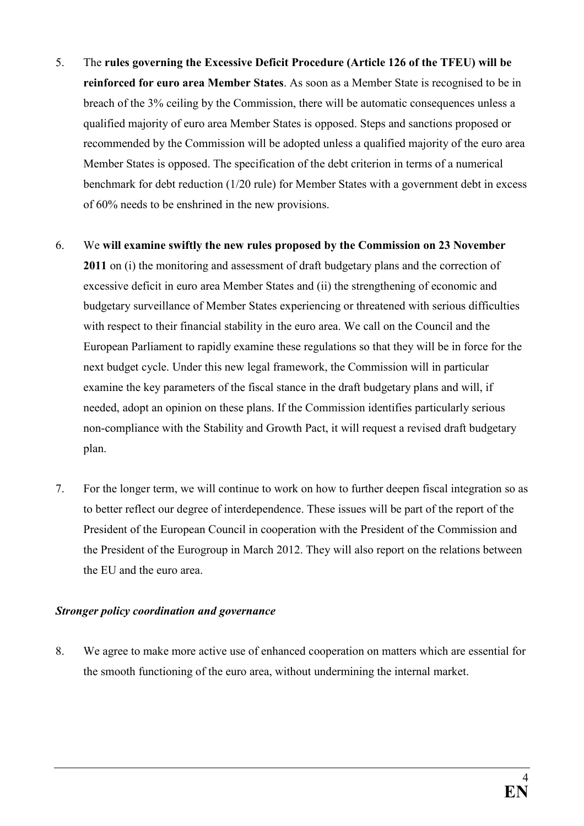- 5. The rules governing the Excessive Deficit Procedure (Article 126 of the TFEU) will be reinforced for euro area Member States. As soon as a Member State is recognised to be in breach of the 3% ceiling by the Commission, there will be automatic consequences unless a qualified majority of euro area Member States is opposed. Steps and sanctions proposed or recommended by the Commission will be adopted unless a qualified majority of the euro area Member States is opposed. The specification of the debt criterion in terms of a numerical benchmark for debt reduction (1/20 rule) for Member States with a government debt in excess of 60% needs to be enshrined in the new provisions.
- 6. We will examine swiftly the new rules proposed by the Commission on 23 November 2011 on (i) the monitoring and assessment of draft budgetary plans and the correction of excessive deficit in euro area Member States and (ii) the strengthening of economic and budgetary surveillance of Member States experiencing or threatened with serious difficulties with respect to their financial stability in the euro area. We call on the Council and the European Parliament to rapidly examine these regulations so that they will be in force for the next budget cycle. Under this new legal framework, the Commission will in particular examine the key parameters of the fiscal stance in the draft budgetary plans and will, if needed, adopt an opinion on these plans. If the Commission identifies particularly serious non-compliance with the Stability and Growth Pact, it will request a revised draft budgetary plan.
- 7. For the longer term, we will continue to work on how to further deepen fiscal integration so as to better reflect our degree of interdependence. These issues will be part of the report of the President of the European Council in cooperation with the President of the Commission and the President of the Eurogroup in March 2012. They will also report on the relations between the EU and the euro area.

### Stronger policy coordination and governance

8. We agree to make more active use of enhanced cooperation on matters which are essential for the smooth functioning of the euro area, without undermining the internal market.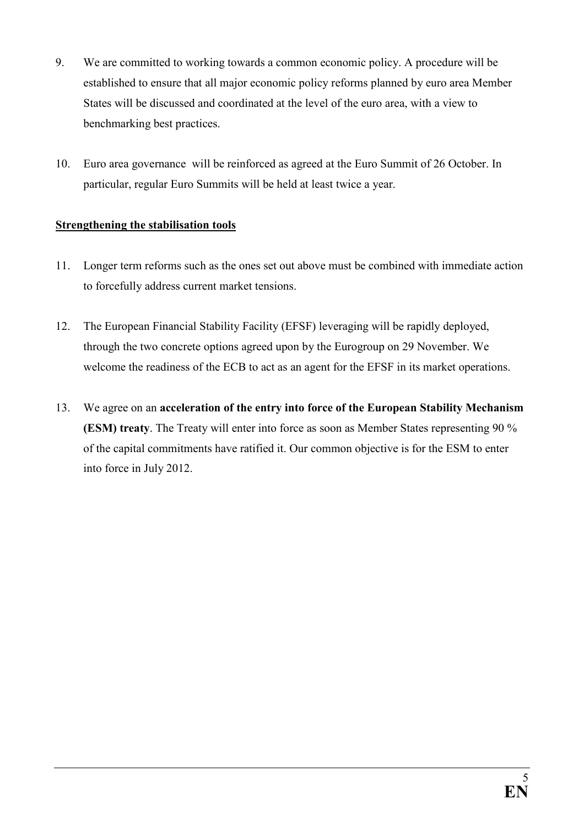- 9. We are committed to working towards a common economic policy. A procedure will be established to ensure that all major economic policy reforms planned by euro area Member States will be discussed and coordinated at the level of the euro area, with a view to benchmarking best practices.
- 10. Euro area governance will be reinforced as agreed at the Euro Summit of 26 October. In particular, regular Euro Summits will be held at least twice a year.

# Strengthening the stabilisation tools

- 11. Longer term reforms such as the ones set out above must be combined with immediate action to forcefully address current market tensions.
- 12. The European Financial Stability Facility (EFSF) leveraging will be rapidly deployed, through the two concrete options agreed upon by the Eurogroup on 29 November. We welcome the readiness of the ECB to act as an agent for the EFSF in its market operations.
- 13. We agree on an acceleration of the entry into force of the European Stability Mechanism (ESM) treaty. The Treaty will enter into force as soon as Member States representing 90 % of the capital commitments have ratified it. Our common objective is for the ESM to enter into force in July 2012.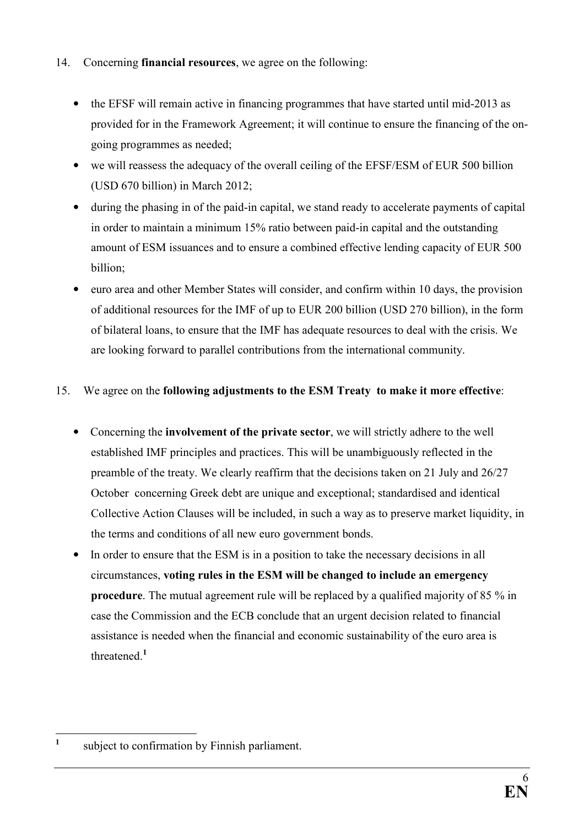# 14. Concerning financial resources, we agree on the following:

- the EFSF will remain active in financing programmes that have started until mid-2013 as provided for in the Framework Agreement; it will continue to ensure the financing of the ongoing programmes as needed;
- we will reassess the adequacy of the overall ceiling of the EFSF/ESM of EUR 500 billion (USD 670 billion) in March 2012;
- during the phasing in of the paid-in capital, we stand ready to accelerate payments of capital in order to maintain a minimum 15% ratio between paid-in capital and the outstanding amount of ESM issuances and to ensure a combined effective lending capacity of EUR 500 billion;
- euro area and other Member States will consider, and confirm within 10 days, the provision of additional resources for the IMF of up to EUR 200 billion (USD 270 billion), in the form of bilateral loans, to ensure that the IMF has adequate resources to deal with the crisis. We are looking forward to parallel contributions from the international community.

# 15. We agree on the following adjustments to the ESM Treaty to make it more effective:

- Concerning the involvement of the private sector, we will strictly adhere to the well established IMF principles and practices. This will be unambiguously reflected in the preamble of the treaty. We clearly reaffirm that the decisions taken on 21 July and 26/27 October concerning Greek debt are unique and exceptional; standardised and identical Collective Action Clauses will be included, in such a way as to preserve market liquidity, in the terms and conditions of all new euro government bonds.
- In order to ensure that the ESM is in a position to take the necessary decisions in all circumstances, voting rules in the ESM will be changed to include an emergency procedure. The mutual agreement rule will be replaced by a qualified majority of 85 % in case the Commission and the ECB conclude that an urgent decision related to financial assistance is needed when the financial and economic sustainability of the euro area is threatened.<sup>1</sup>

 $\frac{1}{1}$ subject to confirmation by Finnish parliament.